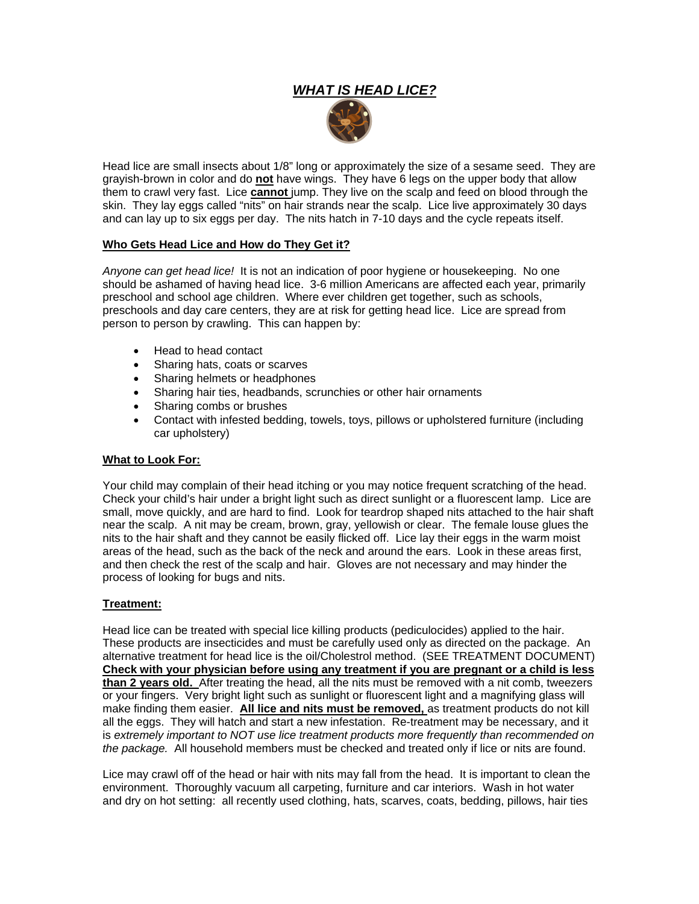# *WHAT IS HEAD LICE?*



Head lice are small insects about 1/8" long or approximately the size of a sesame seed. They are grayish-brown in color and do **not** have wings. They have 6 legs on the upper body that allow them to crawl very fast. Lice **cannot** jump. They live on the scalp and feed on blood through the skin. They lay eggs called "nits" on hair strands near the scalp. Lice live approximately 30 days and can lay up to six eggs per day. The nits hatch in 7-10 days and the cycle repeats itself.

### **Who Gets Head Lice and How do They Get it?**

*Anyone can get head lice!* It is not an indication of poor hygiene or housekeeping. No one should be ashamed of having head lice. 3-6 million Americans are affected each year, primarily preschool and school age children. Where ever children get together, such as schools, preschools and day care centers, they are at risk for getting head lice. Lice are spread from person to person by crawling. This can happen by:

- Head to head contact
- Sharing hats, coats or scarves
- Sharing helmets or headphones
- Sharing hair ties, headbands, scrunchies or other hair ornaments
- Sharing combs or brushes
- Contact with infested bedding, towels, toys, pillows or upholstered furniture (including car upholstery)

#### **What to Look For:**

Your child may complain of their head itching or you may notice frequent scratching of the head. Check your child's hair under a bright light such as direct sunlight or a fluorescent lamp. Lice are small, move quickly, and are hard to find. Look for teardrop shaped nits attached to the hair shaft near the scalp. A nit may be cream, brown, gray, yellowish or clear. The female louse glues the nits to the hair shaft and they cannot be easily flicked off. Lice lay their eggs in the warm moist areas of the head, such as the back of the neck and around the ears. Look in these areas first, and then check the rest of the scalp and hair. Gloves are not necessary and may hinder the process of looking for bugs and nits.

#### **Treatment:**

Head lice can be treated with special lice killing products (pediculocides) applied to the hair. These products are insecticides and must be carefully used only as directed on the package. An alternative treatment for head lice is the oil/Cholestrol method. (SEE TREATMENT DOCUMENT) **Check with your physician before using any treatment if you are pregnant or a child is less than 2 years old.** After treating the head, all the nits must be removed with a nit comb, tweezers or your fingers. Very bright light such as sunlight or fluorescent light and a magnifying glass will make finding them easier. **All lice and nits must be removed,** as treatment products do not kill all the eggs. They will hatch and start a new infestation. Re-treatment may be necessary, and it is *extremely important to NOT use lice treatment products more frequently than recommended on the package.* All household members must be checked and treated only if lice or nits are found.

Lice may crawl off of the head or hair with nits may fall from the head. It is important to clean the environment. Thoroughly vacuum all carpeting, furniture and car interiors. Wash in hot water and dry on hot setting: all recently used clothing, hats, scarves, coats, bedding, pillows, hair ties